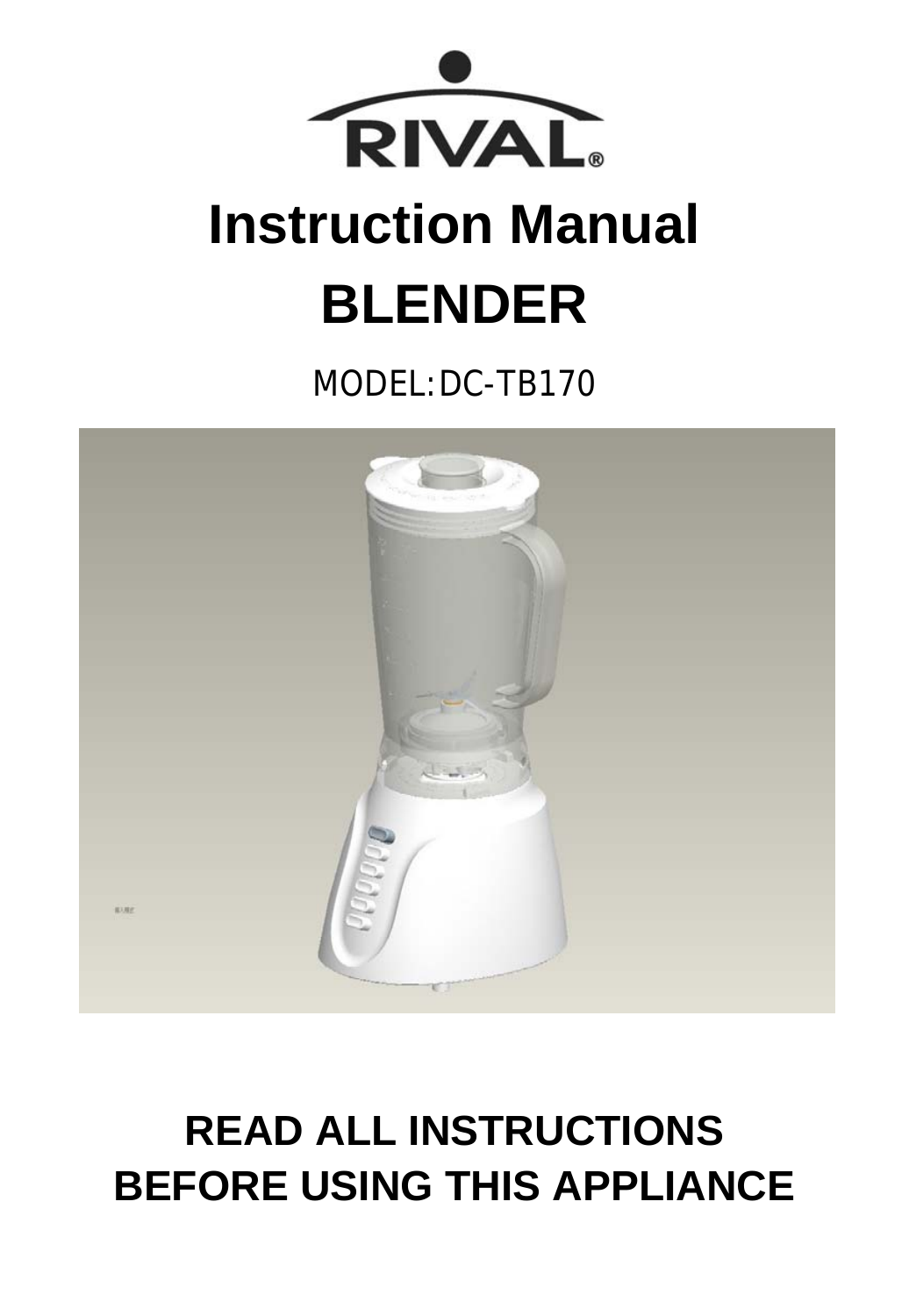

# **Instruction Manual BLENDER**

MODEL:DC-TB170



## **READ ALL INSTRUCTIONS BEFORE USING THIS APPLIANCE**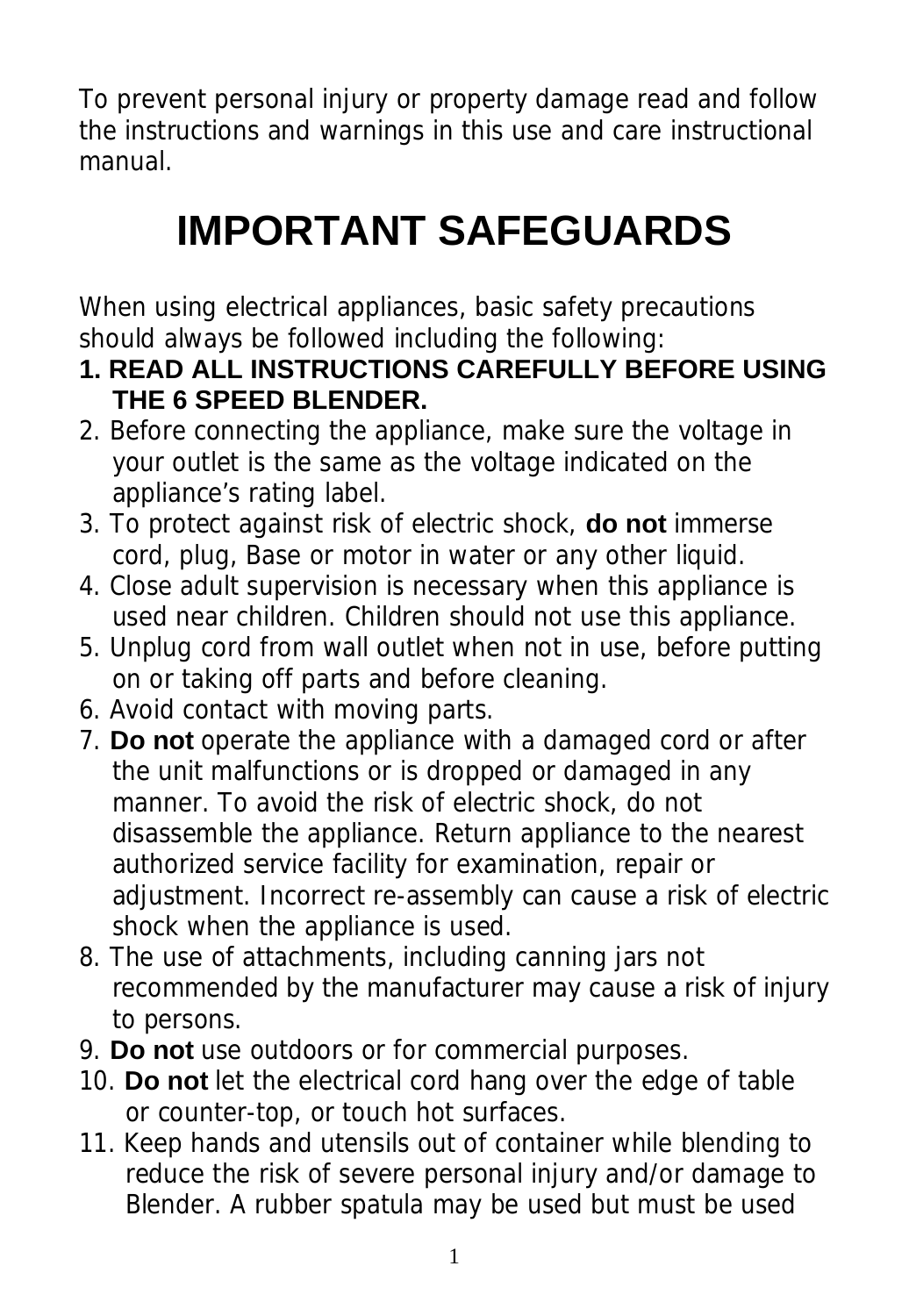To prevent personal injury or property damage read and follow the instructions and warnings in this use and care instructional manual.

# **IMPORTANT SAFEGUARDS**

When using electrical appliances, basic safety precautions should always be followed including the following:

- **1. READ ALL INSTRUCTIONS CAREFULLY BEFORE USING THE 6 SPEED BLENDER.**
- 2. Before connecting the appliance, make sure the voltage in your outlet is the same as the voltage indicated on the appliance's rating label.
- 3. To protect against risk of electric shock, **do not** immerse cord, plug, Base or motor in water or any other liquid.
- 4. Close adult supervision is necessary when this appliance is used near children. Children should not use this appliance.
- 5. Unplug cord from wall outlet when not in use, before putting on or taking off parts and before cleaning.
- 6. Avoid contact with moving parts.
- 7. **Do not** operate the appliance with a damaged cord or after the unit malfunctions or is dropped or damaged in any manner. To avoid the risk of electric shock, do not disassemble the appliance. Return appliance to the nearest authorized service facility for examination, repair or adjustment. Incorrect re-assembly can cause a risk of electric shock when the appliance is used.
- 8. The use of attachments, including canning jars not recommended by the manufacturer may cause a risk of injury to persons.
- 9. **Do not** use outdoors or for commercial purposes.
- 10. **Do not** let the electrical cord hang over the edge of table or counter-top, or touch hot surfaces.
- 11. Keep hands and utensils out of container while blending to reduce the risk of severe personal injury and/or damage to Blender. A rubber spatula may be used but must be used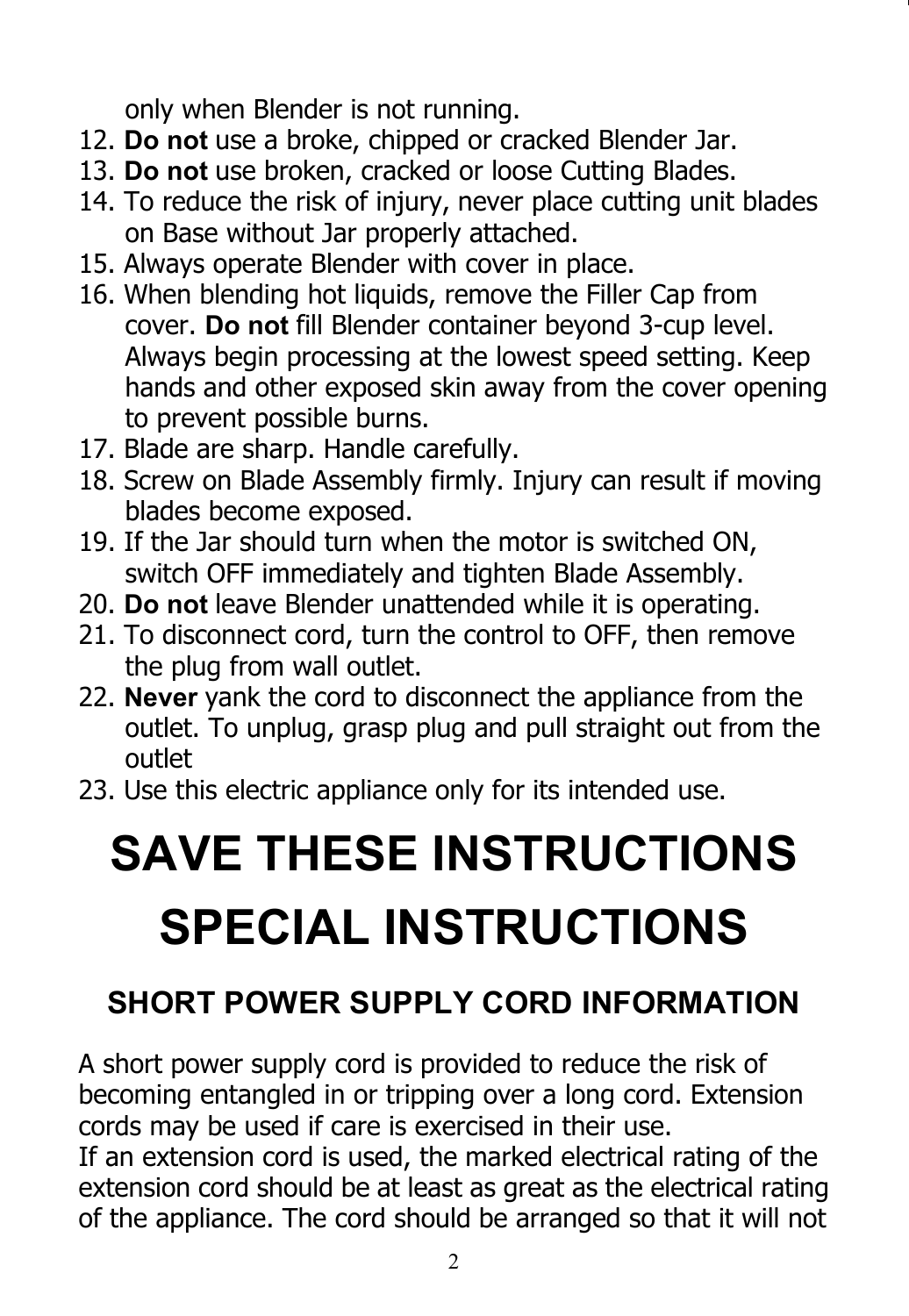only when Blender is not running.

- 12. **Do not** use a broke, chipped or cracked Blender Jar.
- 13. **Do not** use broken, cracked or loose Cutting Blades.
- 14. To reduce the risk of injury, never place cutting unit blades on Base without Jar properly attached.
- 15. Always operate Blender with cover in place.
- 16. When blending hot liquids, remove the Filler Cap from cover. **Do not** fill Blender container beyond 3-cup level. Always begin processing at the lowest speed setting. Keep hands and other exposed skin away from the cover opening to prevent possible burns.
- 17. Blade are sharp. Handle carefully.
- 18. Screw on Blade Assembly firmly. Injury can result if moving blades become exposed.
- 19. If the Jar should turn when the motor is switched ON, switch OFF immediately and tighten Blade Assembly.
- 20. **Do not** leave Blender unattended while it is operating.
- 21. To disconnect cord, turn the control to OFF, then remove the plug from wall outlet.
- 22. **Never** yank the cord to disconnect the appliance from the outlet. To unplug, grasp plug and pull straight out from the outlet
- 23. Use this electric appliance only for its intended use.

# **SAVE THESE INSTRUCTIONS SPECIAL INSTRUCTIONS**

### **SHORT POWER SUPPLY CORD INFORMATION**

A short power supply cord is provided to reduce the risk of becoming entangled in or tripping over a long cord. Extension cords may be used if care is exercised in their use.

If an extension cord is used, the marked electrical rating of the extension cord should be at least as great as the electrical rating of the appliance. The cord should be arranged so that it will not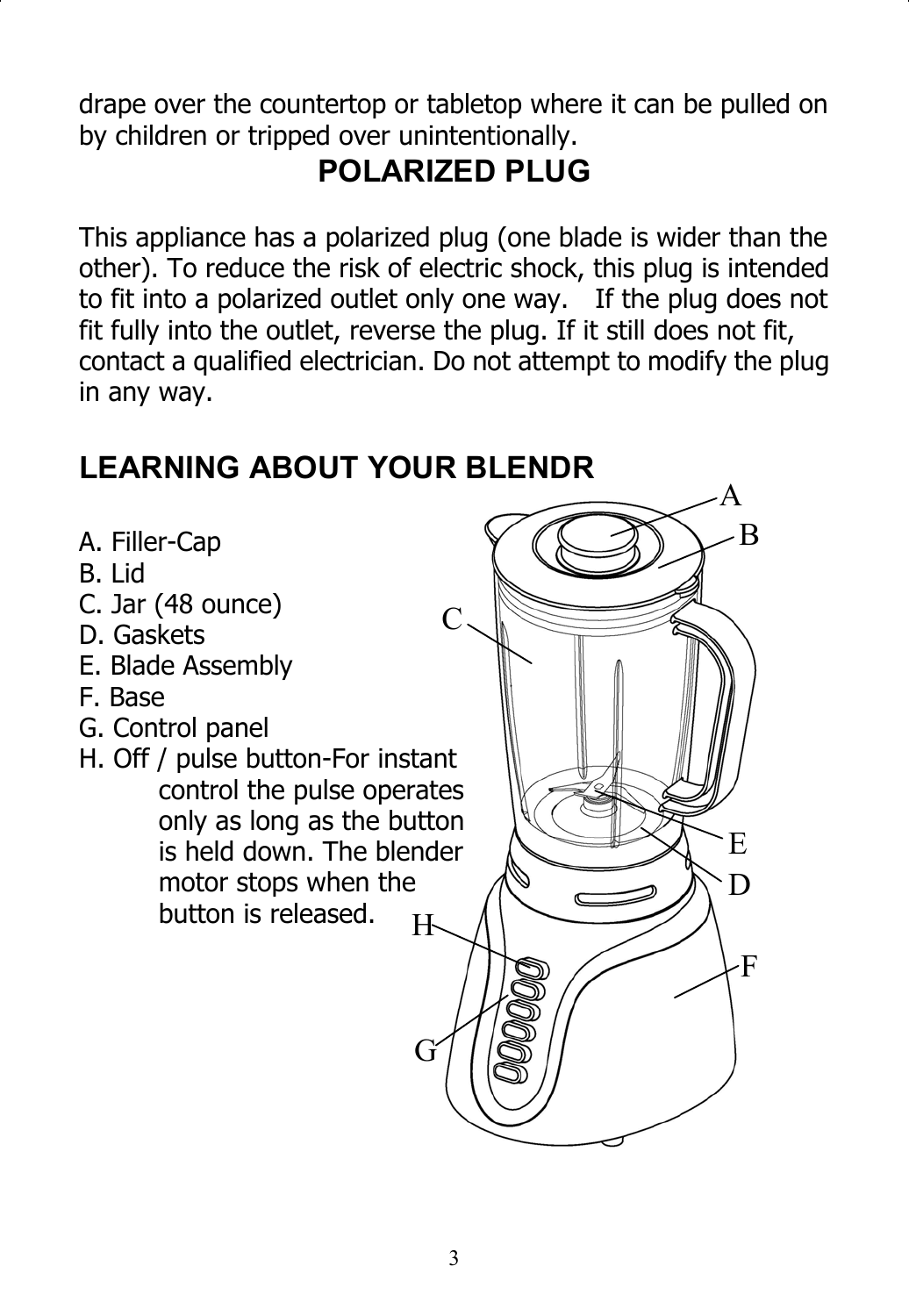drape over the countertop or tabletop where it can be pulled on by children or tripped over unintentionally.

### **POLARIZED PLUG**

This appliance has a polarized plug (one blade is wider than the other). To reduce the risk of electric shock, this plug is intended to fit into a polarized outlet only one way. If the plug does not fit fully into the outlet, reverse the plug. If it still does not fit, contact a qualified electrician. Do not attempt to modify the plug in any way.

#### **LEARNING ABOUT YOUR BLENDR**

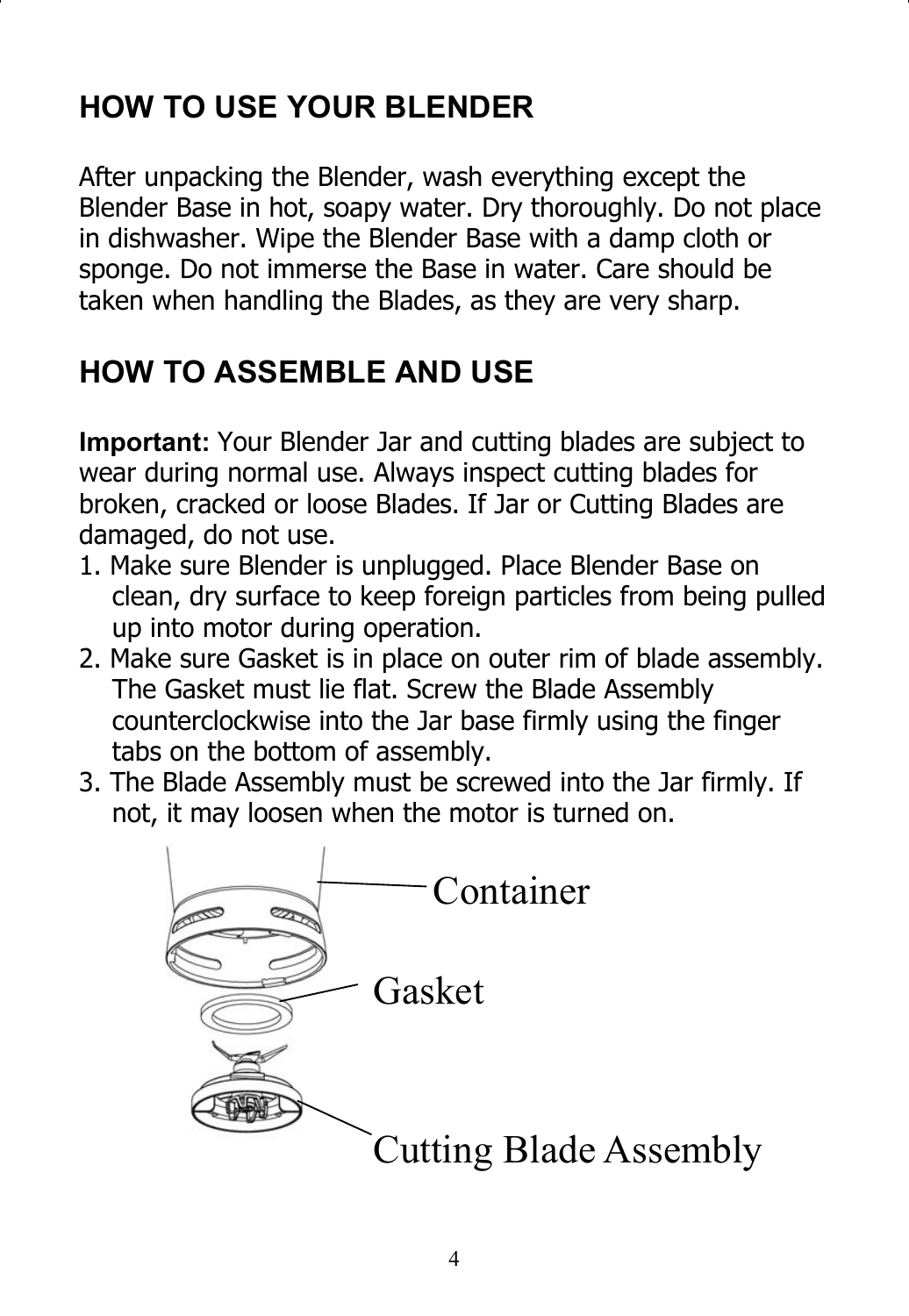### **HOW TO USE YOUR BLENDER**

After unpacking the Blender, wash everything except the Blender Base in hot, soapy water. Dry thoroughly. Do not place in dishwasher. Wipe the Blender Base with a damp cloth or sponge. Do not immerse the Base in water. Care should be taken when handling the Blades, as they are very sharp.

### **HOW TO ASSEMBLE AND USE**

**Important:** Your Blender Jar and cutting blades are subject to wear during normal use. Always inspect cutting blades for broken, cracked or loose Blades. If Jar or Cutting Blades are damaged, do not use.

- 1. Make sure Blender is unplugged. Place Blender Base on clean, dry surface to keep foreign particles from being pulled up into motor during operation.
- 2. Make sure Gasket is in place on outer rim of blade assembly. The Gasket must lie flat. Screw the Blade Assembly counterclockwise into the Jar base firmly using the finger tabs on the bottom of assembly.
- 3. The Blade Assembly must be screwed into the Jar firmly. If not, it may loosen when the motor is turned on.

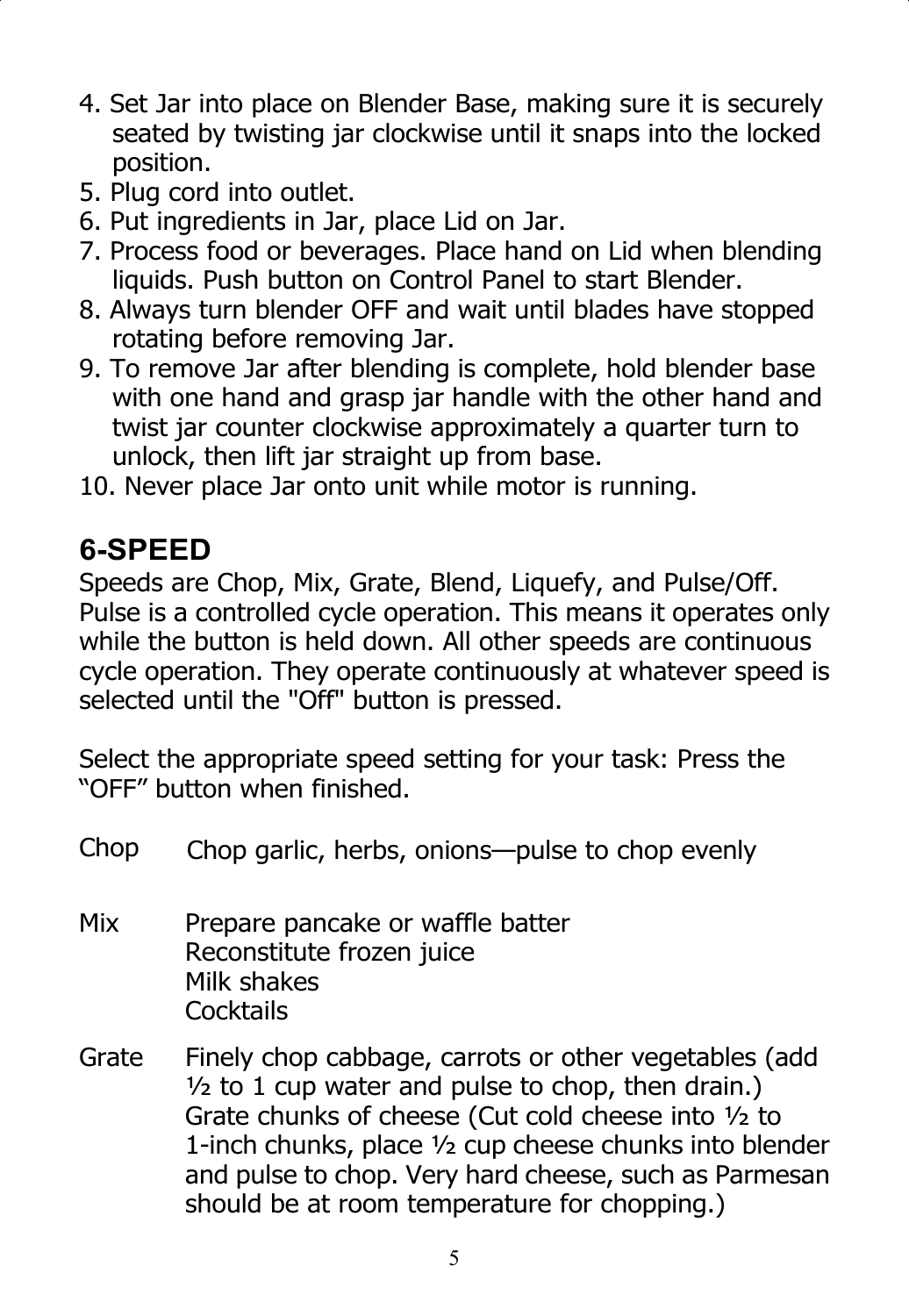- 4. Set Jar into place on Blender Base, making sure it is securely seated by twisting jar clockwise until it snaps into the locked position.
- 5. Plug cord into outlet.
- 6. Put ingredients in Jar, place Lid on Jar.
- 7. Process food or beverages. Place hand on Lid when blending liquids. Push button on Control Panel to start Blender.
- 8. Always turn blender OFF and wait until blades have stopped rotating before removing Jar.
- 9. To remove Jar after blending is complete, hold blender base with one hand and grasp jar handle with the other hand and twist jar counter clockwise approximately a quarter turn to unlock, then lift jar straight up from base.
- 10. Never place Jar onto unit while motor is running.

#### **6-SPEED**

Speeds are Chop, Mix, Grate, Blend, Liquefy, and Pulse/Off. Pulse is a controlled cycle operation. This means it operates only while the button is held down. All other speeds are continuous cycle operation. They operate continuously at whatever speed is selected until the "Off" button is pressed.

Select the appropriate speed setting for your task: Press the "OFF" button when finished.

| Chop  | Chop garlic, herbs, onions--pulse to chop evenly                                                                                                                                                                                                                                                                                                 |
|-------|--------------------------------------------------------------------------------------------------------------------------------------------------------------------------------------------------------------------------------------------------------------------------------------------------------------------------------------------------|
| Mix   | Prepare pancake or waffle batter<br>Reconstitute frozen juice<br>Milk shakes<br>Cocktails                                                                                                                                                                                                                                                        |
| Grate | Finely chop cabbage, carrots or other vegetables (add<br>$\frac{1}{2}$ to 1 cup water and pulse to chop, then drain.)<br>Grate chunks of cheese (Cut cold cheese into 1/2 to<br>1-inch chunks, place 1/2 cup cheese chunks into blender<br>and pulse to chop. Very hard cheese, such as Parmesan<br>should be at room temperature for chopping.) |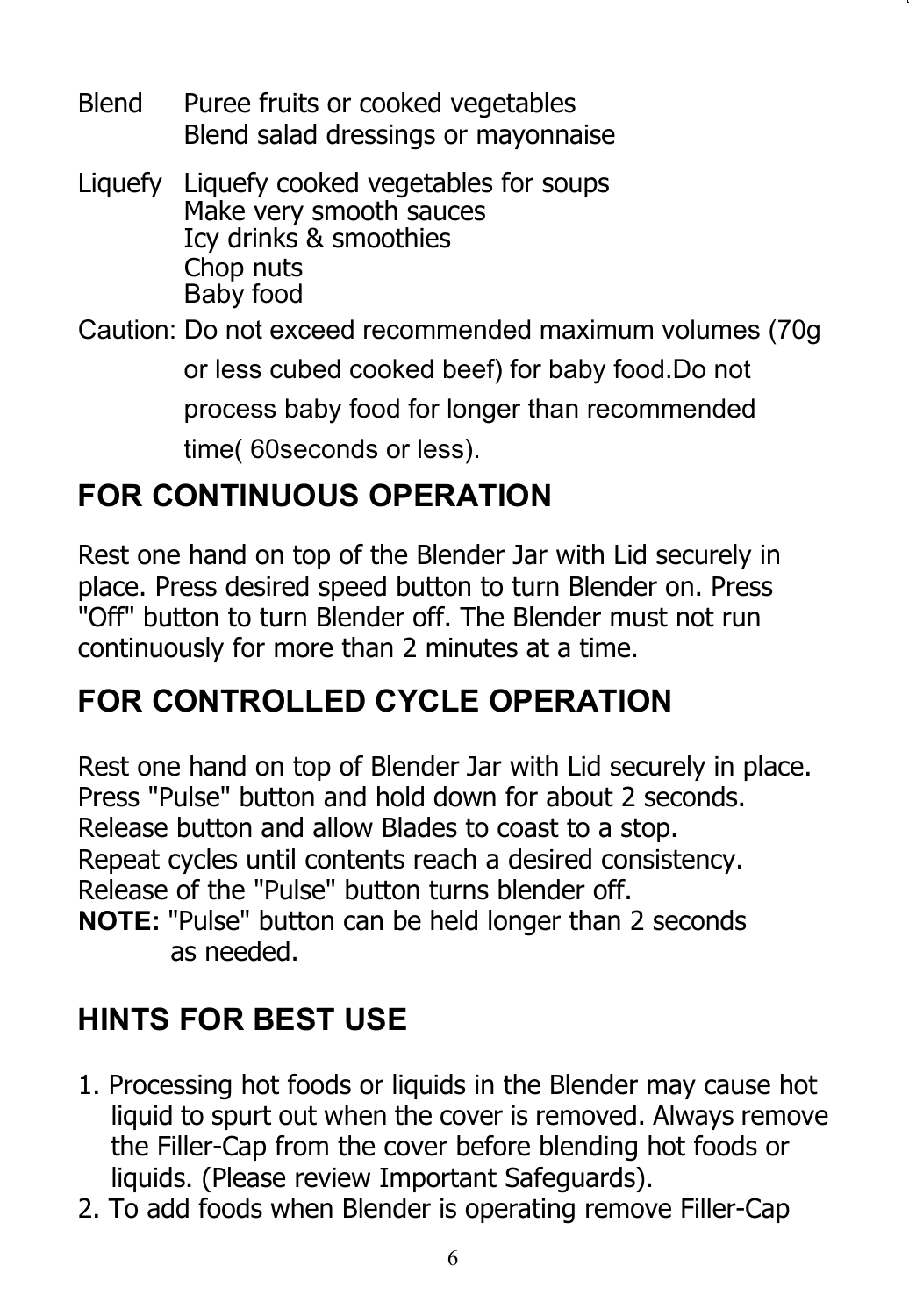- Blend Puree fruits or cooked vegetables Blend salad dressings or mayonnaise
- Liquefy Liquefy cooked vegetables for soups Make very smooth sauces Icy drinks & smoothies Baby food Chop nuts
- Caution: Do not exceed recommended maximum volumes (70g or less cubed cooked beef) for baby food.Do not process baby food for longer than recommended time( 60seconds or less).

### **FOR CONTINUOUS OPERATION**

Rest one hand on top of the Blender Jar with Lid securely in place. Press desired speed button to turn Blender on. Press "Off" button to turn Blender off. The Blender must not run continuously for more than 2 minutes at a time.

### **FOR CONTROLLED CYCLE OPERATION**

Rest one hand on top of Blender Jar with Lid securely in place. Press "Pulse" button and hold down for about 2 seconds. Release button and allow Blades to coast to a stop. Repeat cycles until contents reach a desired consistency. Release of the "Pulse" button turns blender off. **NOTE:** "Pulse" button can be held longer than 2 seconds as needed.

### **HINTS FOR BEST USE**

- 1. Processing hot foods or liquids in the Blender may cause hot liquid to spurt out when the cover is removed. Always remove the Filler-Cap from the cover before blending hot foods or liquids. (Please review Important Safeguards).
- 2. To add foods when Blender is operating remove Filler-Cap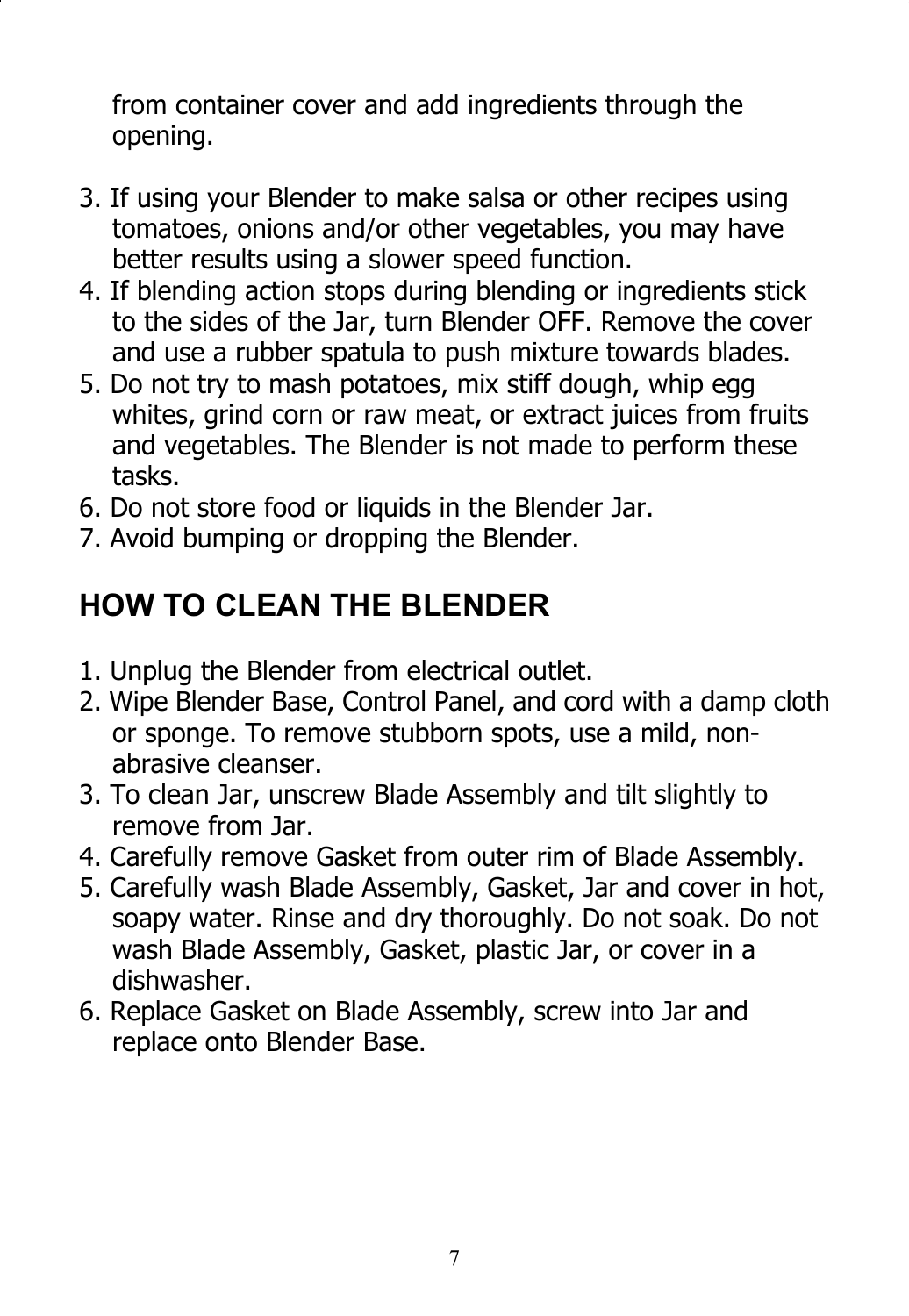from container cover and add ingredients through the opening.

- 3. If using your Blender to make salsa or other recipes using tomatoes, onions and/or other vegetables, you may have better results using a slower speed function.
- 4. If blending action stops during blending or ingredients stick to the sides of the Jar, turn Blender OFF. Remove the cover and use a rubber spatula to push mixture towards blades.
- 5. Do not try to mash potatoes, mix stiff dough, whip egg whites, grind corn or raw meat, or extract juices from fruits and vegetables. The Blender is not made to perform these tasks.
- 6. Do not store food or liquids in the Blender Jar.
- 7. Avoid bumping or dropping the Blender.

#### **HOW TO CLEAN THE BLENDER**

- 1. Unplug the Blender from electrical outlet.
- 2. Wipe Blender Base, Control Panel, and cord with a damp cloth or sponge. To remove stubborn spots, use a mild, nonabrasive cleanser.
- 3. To clean Jar, unscrew Blade Assembly and tilt slightly to remove from Jar.
- 4. Carefully remove Gasket from outer rim of Blade Assembly.
- 5. Carefully wash Blade Assembly, Gasket, Jar and cover in hot, soapy water. Rinse and dry thoroughly. Do not soak. Do not wash Blade Assembly, Gasket, plastic Jar, or cover in a dishwasher.
- 6. Replace Gasket on Blade Assembly, screw into Jar and replace onto Blender Base.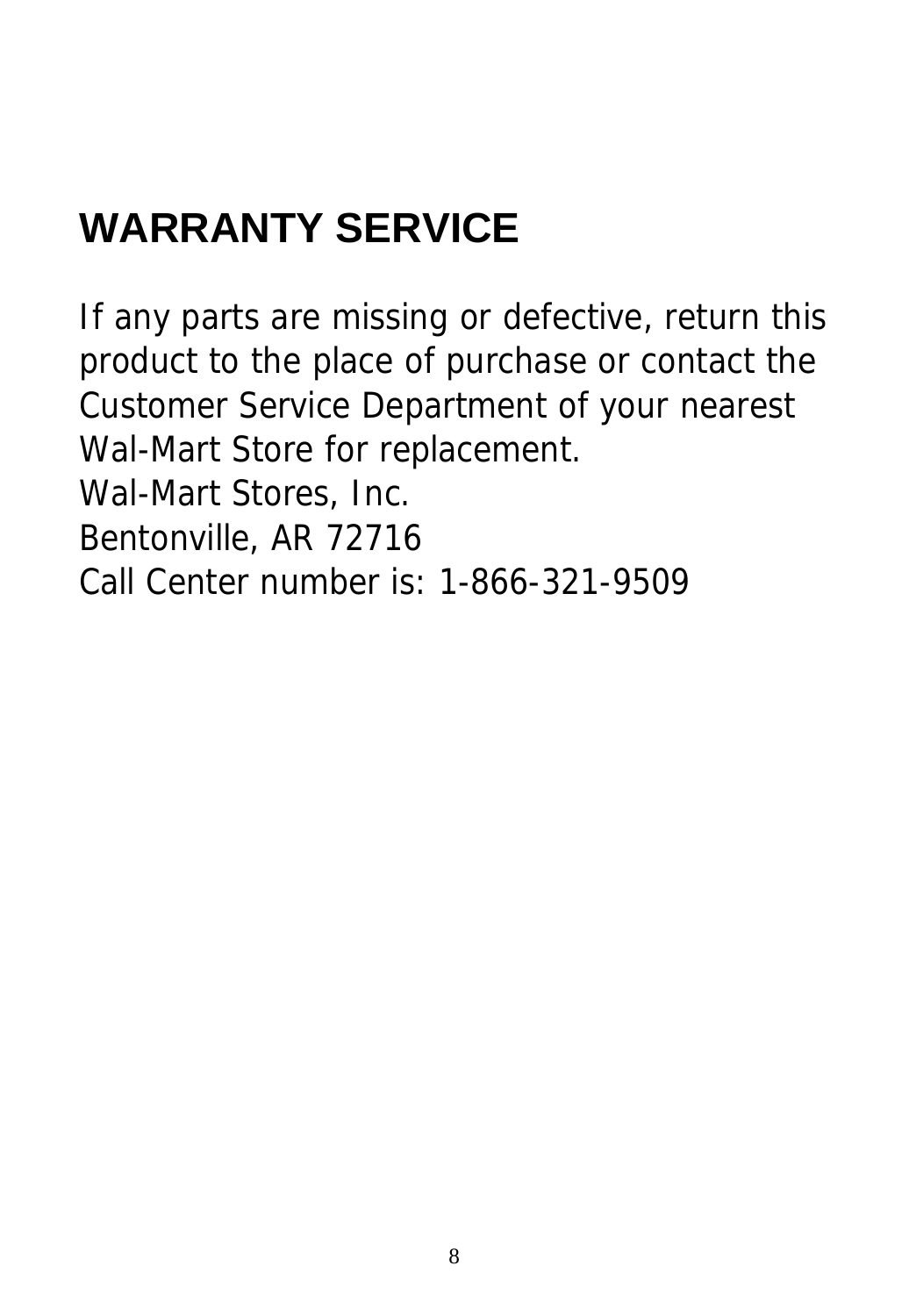# **WARRANTY SERVICE**

If any parts are missing or defective, return this product to the place of purchase or contact the Customer Service Department of your nearest Wal-Mart Store for replacement. Wal-Mart Stores, Inc.

Bentonville, AR 72716

Call Center number is: 1-866-321-9509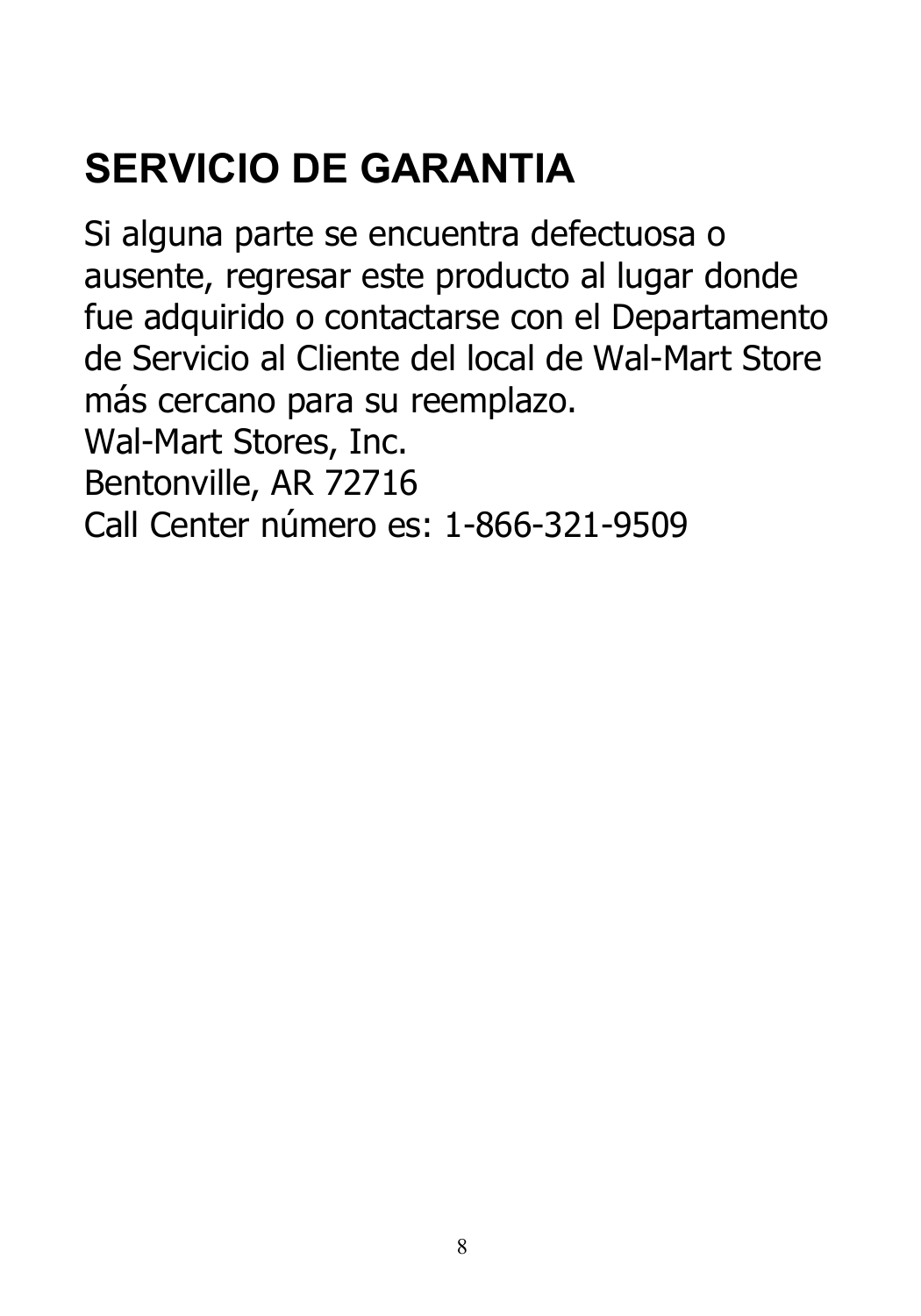# **SERVICIO DE GARANTIA**

Si alguna parte se encuentra defectuosa o ausente, regresar este producto al lugar donde fue adquirido o contactarse con el Departamento de Servicio al Cliente del local de Wal-Mart Store más cercano para su reemplazo. Wal-Mart Stores, Inc. Bentonville, AR 72716

Call Center número es: 1-866-321-9509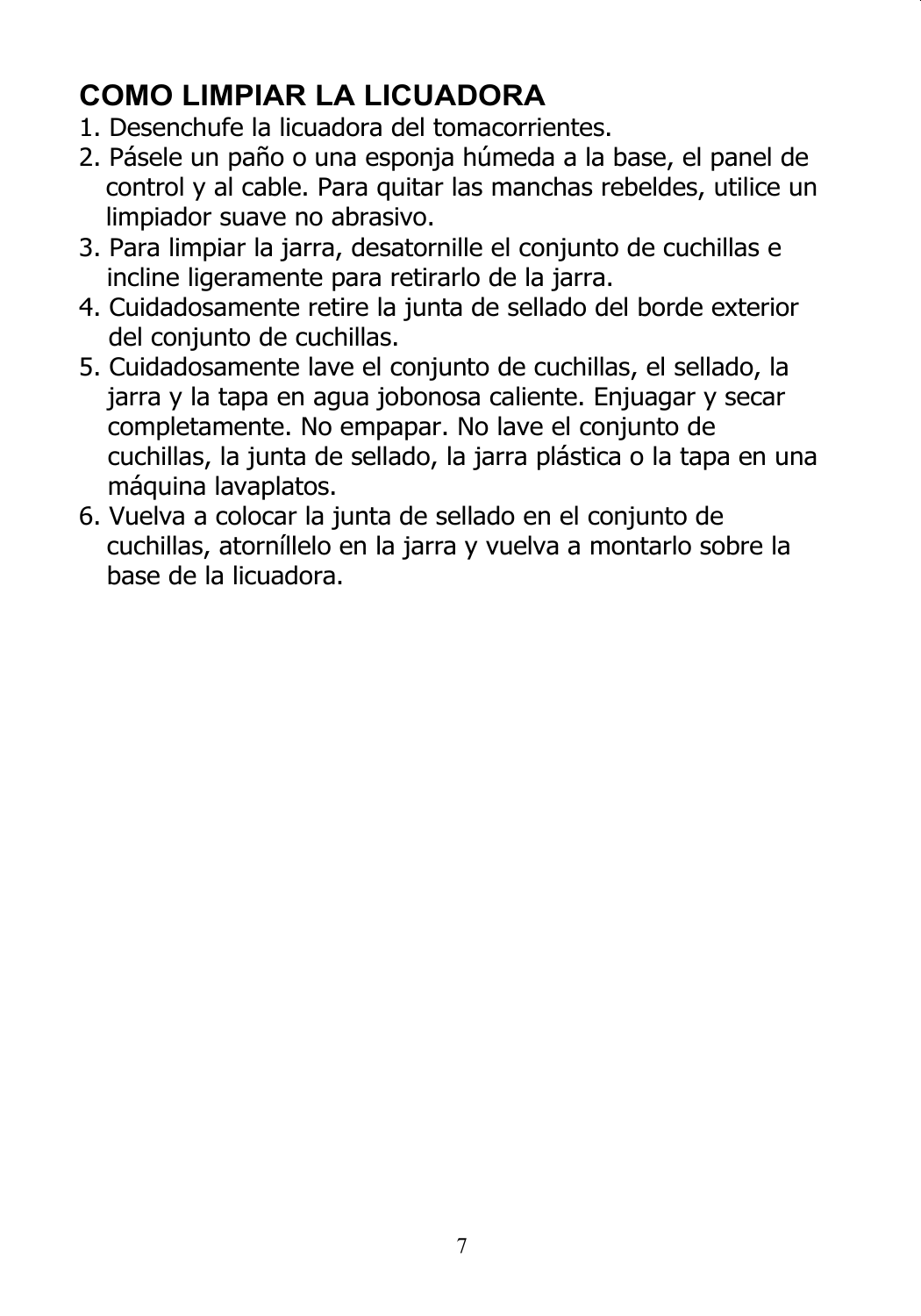#### **COMO LIMPIAR LA LICUADORA**

- 1. Desenchufe la licuadora del tomacorrientes.
- 2. Pásele un paño o una esponja húmeda a la base, el panel de control y al cable. Para quitar las manchas rebeldes, utilice un limpiador suave no abrasivo.
- 3. Para limpiar la jarra, desatornille el conjunto de cuchillas e incline ligeramente para retirarlo de la jarra.
- 4. Cuidadosamente retire la junta de sellado del borde exterior del conjunto de cuchillas.
- 5. Cuidadosamente lave el conjunto de cuchillas, el sellado, la jarra y la tapa en agua jobonosa caliente. Enjuagar y secar completamente. No empapar. No lave el conjunto de cuchillas, la junta de sellado, la jarra plástica o la tapa en una máquina lavaplatos.
- 6. Vuelva a colocar la junta de sellado en el conjunto de cuchillas, atorníllelo en la jarra y vuelva a montarlo sobre la base de la licuadora.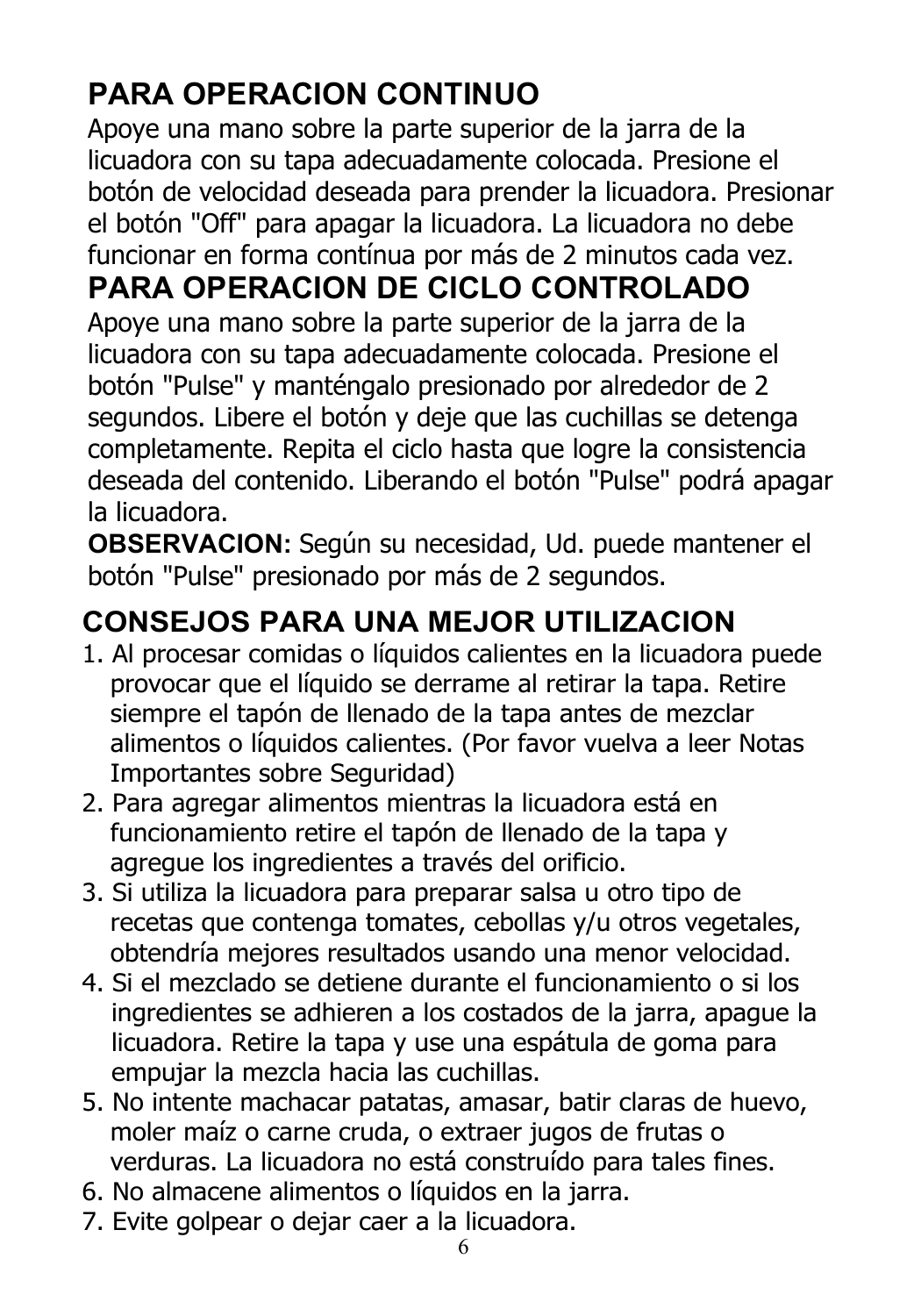### **PARA OPERACION CONTINUO**

Apoye una mano sobre la parte superior de la jarra de la licuadora con su tapa adecuadamente colocada. Presione el botón de velocidad deseada para prender la licuadora. Presionar el botón "Off" para apagar la licuadora. La licuadora no debe funcionar en forma contínua por más de 2 minutos cada vez.

### **PARA OPERACION DE CICLO CONTROLADO**

Apoye una mano sobre la parte superior de la jarra de la licuadora con su tapa adecuadamente colocada. Presione el botón "Pulse" y manténgalo presionado por alrededor de 2 segundos. Libere el botón y deje que las cuchillas se detenga completamente. Repita el ciclo hasta que logre la consistencia deseada del contenido. Liberando el botón "Pulse" podrá apagar la licuadora.

**OBSERVACION:** Según su necesidad, Ud. puede mantener el botón "Pulse" presionado por más de 2 segundos.

#### **CONSEJOS PARA UNA MEJOR UTILIZACION**

- 1. Al procesar comidas o líquidos calientes en la licuadora puede provocar que el líquido se derrame al retirar la tapa. Retire siempre el tapón de llenado de la tapa antes de mezclar alimentos o líquidos calientes. (Por favor vuelva a leer Notas Importantes sobre Seguridad)
- 2. Para agregar alimentos mientras la licuadora está en funcionamiento retire el tapón de llenado de la tapa y agregue los ingredientes a través del orificio.
- 3. Si utiliza la licuadora para preparar salsa u otro tipo de recetas que contenga tomates, cebollas y/u otros vegetales, obtendría mejores resultados usando una menor velocidad.
- 4. Si el mezclado se detiene durante el funcionamiento o si los ingredientes se adhieren a los costados de la jarra, apague la licuadora. Retire la tapa y use una espátula de goma para empujar la mezcla hacia las cuchillas.
- 5. No intente machacar patatas, amasar, batir claras de huevo, moler maíz o carne cruda, o extraer jugos de frutas o verduras. La licuadora no está construído para tales fines.
- 6. No almacene alimentos o líquidos en la jarra.
- 7. Evite golpear o dejar caer a la licuadora.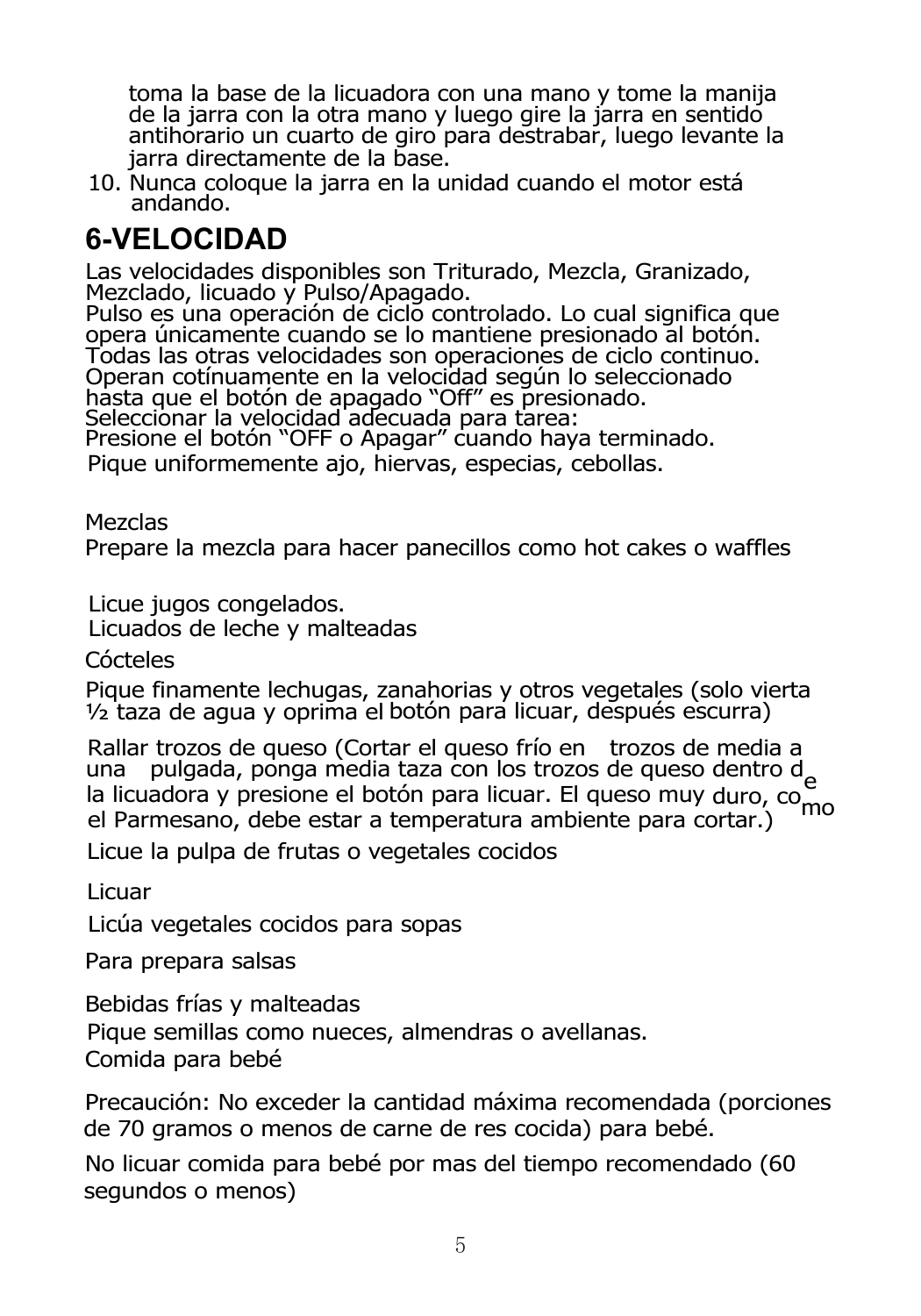toma la base de la licuadora con una mano y tome la manija de la jarra con la otra mano y luego gire la jarra en sentido antihorario un cuarto de giro para destrabar, luego levante la jarra directamente de la base.

10. Nunca coloque la jarra en la unidad cuando el motor está andando.

#### **6-VELOCIDAD**

Las velocidades disponibles son Triturado, Mezcla, Granizado, Mezclado,

Pulso es una operación de ciclo controlado. Lo cual significa que opera únicamente cuando se lo mantiene presionado al botón. Todas las otras velocidades son operaciones de ciclo continuo. Operan cotínuamente en la velocidad según lo seleccionado hasta que el botón de apagado "Off" es presionado.<br>Seleccionar la velocidad adecuada para tarea:

Presione el botón "OFF o Apagar" cuando haya terminado.

Pique uniformemente ajo, hiervas, especias, cebollas.

Mezclas

Prepare la mezcla para hacer panecillos como hot cakes o waffles

Licue jugos congelados.

Licuados de leche y malteadas

Cócteles

Pique finamente lechugas, zanahorias y otros vegetales (solo vierta ½ taza de agua y oprima el botón para licuar, después escurra)

Rallar trozos de queso (Cortar el queso frío en trozos de media a una pulgada, ponga media taza con los trozos de queso dentro d una pulgada, ponga media taza con los trovas de la licuadora y presione el botón para licuar. El queso muy duro, como<br>el Parmesano, debe estar a temperatura ambiente para cortar.)

Licue la pulpa de frutas o vegetales cocidos

Licuar

Licúa vegetales cocidos para sopas

Para prepara salsas

Bebidas frías y malteadas Comida para bebé Pique semillas como nueces, almendras o avellanas.

Precaución: No exceder la cantidad máxima recomendada (porciones de 70 gramos o menos de carne de res cocida) para bebé.

No licuar comida para bebé por mas del tiempo recomendado (60 segundos o menos)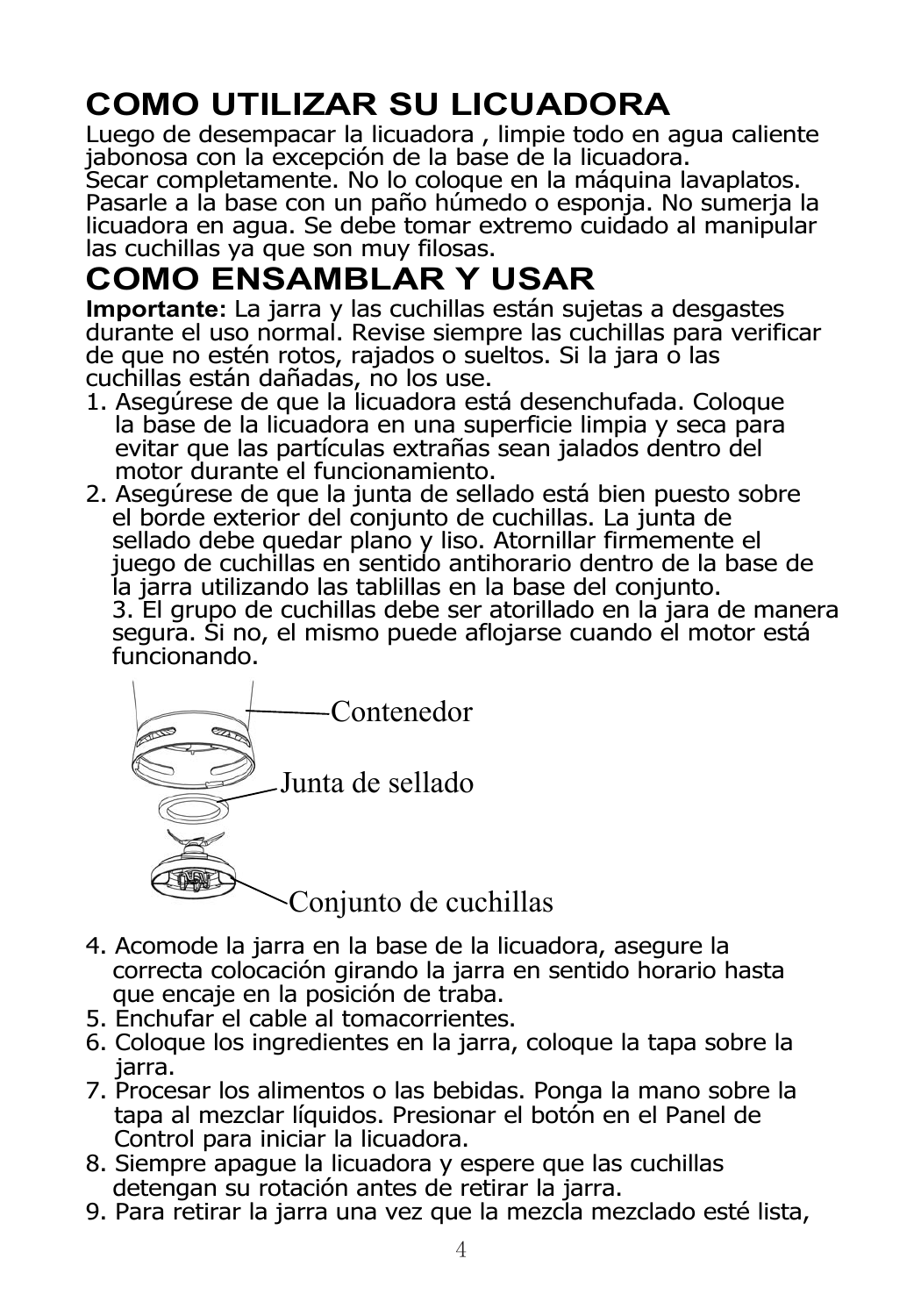### **COMO UTILIZAR SU LICUADORA**

Luego de desempacar la licuadora , limpie todo en agua caliente jabonosa con la excepción de la base de la licuadora.

Secar completamente. No lo coloque en la máquina lavaplatos. Pasarle a la base con un paño húmedo o esponja. No sumerja la licuadora en agua. Se debe tomar extremo cuidado al manipular las cuchillas ya que son muy filosas.

### **COMO ENSAMBLAR Y USAR**

**Importante:** La jarra y las cuchillas están sujetas a desgastes durante el uso normal. Revise siempre las cuchillas para verificar de que no estén rotos, rajados o sueltos. Si la jara o las cuchillas están dañadas, no los use.

- 1. Asegúrese de que la licuadora está desenchufada. Coloque la base de la licuadora en una superficie limpia y seca para evitar que las partículas extrañas sean jalados dentro del motor durante el funcionamiento.
- 2. Asegúrese de que la junta de sellado está bien puesto sobre el borde exterior del conjunto de cuchillas. La junta de sellado debe quedar plano y liso. Atornillar firmemente el juego de cuchillas en sentido antihorario dentro de la base de la jarra utilizando las tablillas en la base del conjunto. 3. El grupo de cuchillas debe ser atorillado en la jara de manera segura. Si no, el mismo puede aflojarse cuando el motor está funcionando.



- 4. Acomode la jarra en la base de la licuadora, asegure la correcta colocación girando la jarra en sentido horario hasta que encaje en la posición de traba.
- 5. Enchufar el cable al tomacorrientes.
- 6. Coloque los ingredientes en la jarra, coloque la tapa sobre la jarra.
- 7. Procesar los alimentos o las bebidas. Ponga la mano sobre la tapa al mezclar líquidos. Presionar el botón en el Panel de Control para iniciar la licuadora.
- 8. Siempre apague la licuadora y espere que las cuchillas detengan su rotación antes de retirar la jarra.
- 9. Para retirar la jarra una vez que la mezcla mezclado esté lista,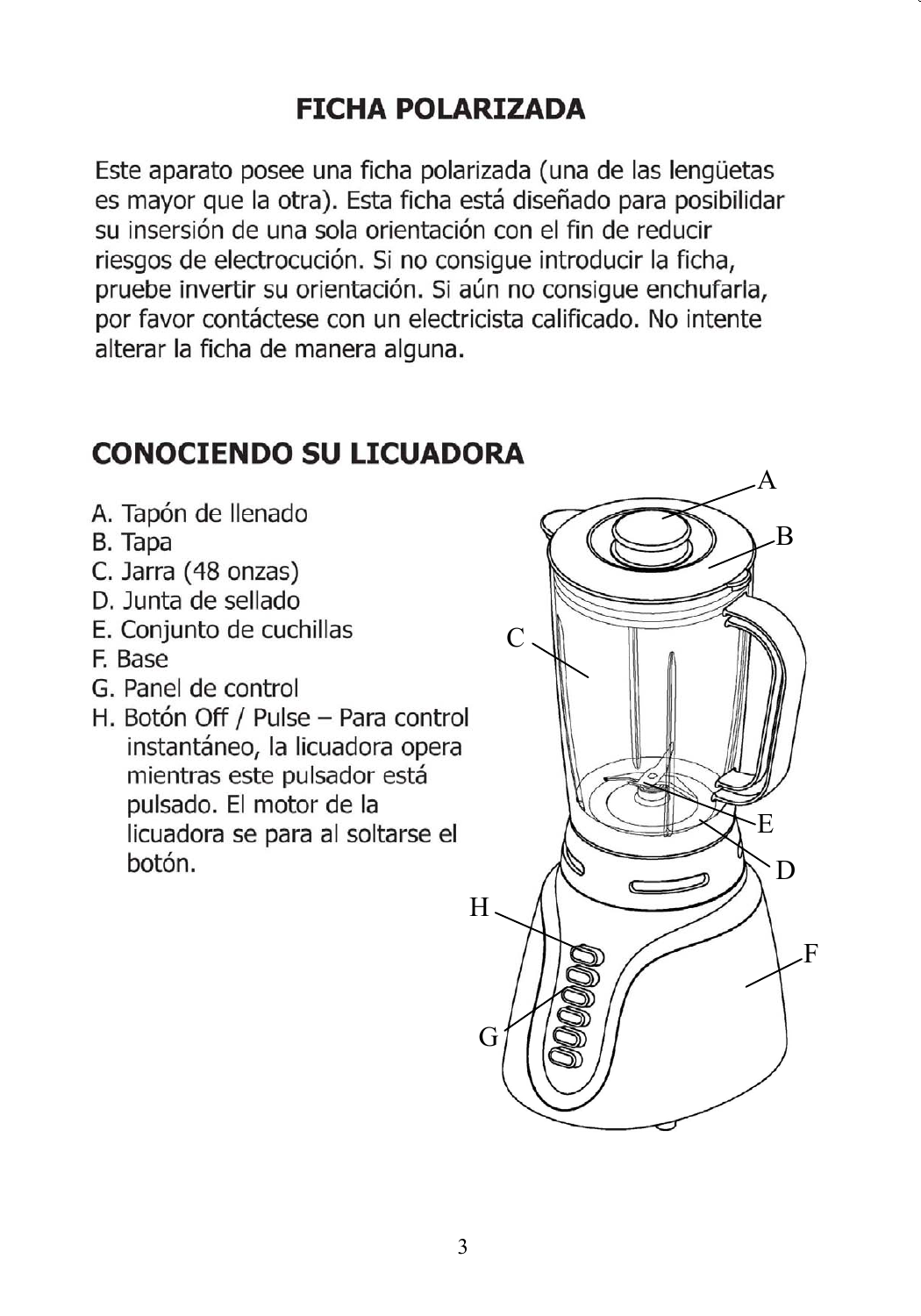#### **FICHA POLARIZADA**

Este aparato posee una ficha polarizada (una de las lengüetas es mayor que la otra). Esta ficha está diseñado para posibilidar su insersión de una sola orientación con el fin de reducir riesgos de electrocución. Si no consigue introducir la ficha. pruebe invertir su orientación. Si aún no consigue enchufarla, por favor contáctese con un electricista calificado. No intente alterar la ficha de manera alguna.

#### **CONOCIENDO SU LICUADORA**

- A. Tapón de llenado
- B. Tapa
- C. Jarra (48 onzas)
- D. Junta de sellado
- E. Conjunto de cuchillas
- F. Base
- G. Panel de control
- H. Botón Off / Pulse Para control instantáneo, la licuadora opera mientras este pulsador está pulsado. El motor de la licuadora se para al soltarse el botón.

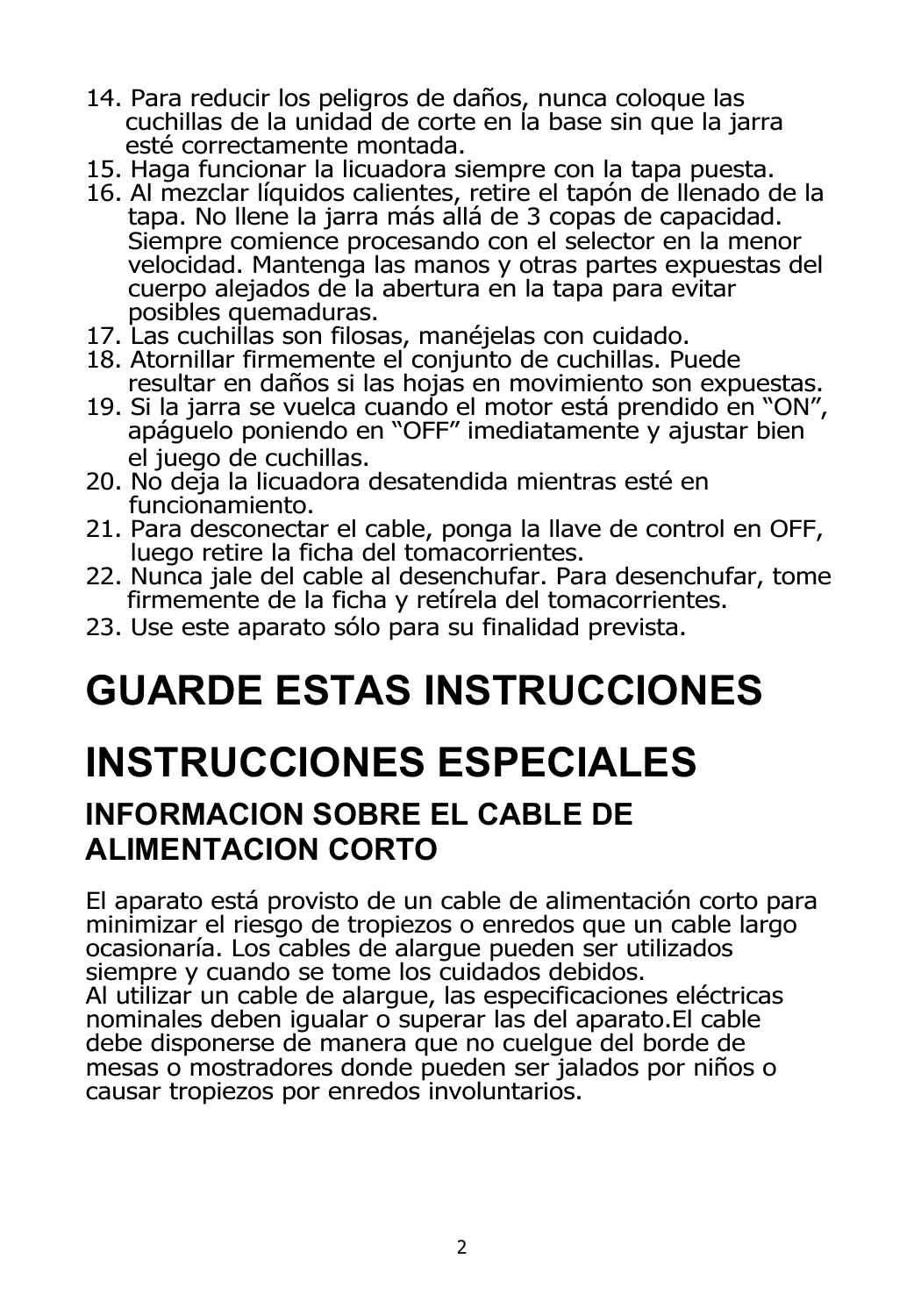- 14. Para reducir los peligros de daños, nunca coloque las cuchillas de la unidad de corte en la base sin que la jarra esté correctamente montada.
- 15. Haga funcionar la licuadora siempre con la tapa puesta.
- 16. Al mezclar líquidos calientes, retire el tapón de llenado de la tapa. No llene la jarra más allá de 3 copas de capacidad. Siempre comience procesando con el selector en la menor velocidad. Mantenga las manos y otras partes expuestas del cuerpo alejados de la abertura en la tapa para evitar posibles quemaduras.
- 17. Las cuchillas son filosas, manéjelas con cuidado.
- 18. Atornillar firmemente el conjunto de cuchillas. Puede resultar en daños si las hojas en movimiento son expuestas.
- 19. Si la jarra se vuelca cuando el motor está prendido en "ON", apáguelo poniendo en "OFF" imediatamente y ajustar bien el juego de cuchillas.
- 20. No deja la licuadora desatendida mientras esté en funcionamiento.
- 21. Para desconectar el cable, ponga la llave de control en OFF, luego retire la ficha del tomacorrientes.
- 22. Nunca jale del cable al desenchufar. Para desenchufar, tome firmemente de la ficha y retírela del tomacorrientes.
- 23. Use este aparato sólo para su finalidad prevista.

## **GUARDE ESTAS INSTRUCCIONES**

# **INSTRUCCIONES ESPECIALES**

#### **INFORMACION SOBRE EL CABLE DE ALIMENTACION CORTO**

El aparato está provisto de un cable de alimentación corto para minimizar el riesgo de tropiezos o enredos que un cable largo ocasionaría. Los cables de alargue pueden ser utilizados siempre y cuando se tome los cuidados debidos. Al utilizar un cable de alargue, las especificaciones eléctricas nominales deben igualar o superar las del aparato.El cable debe disponerse de manera que no cuelgue del borde de mesas o mostradores donde pueden ser jalados por niños o causar tropiezos por enredos involuntarios.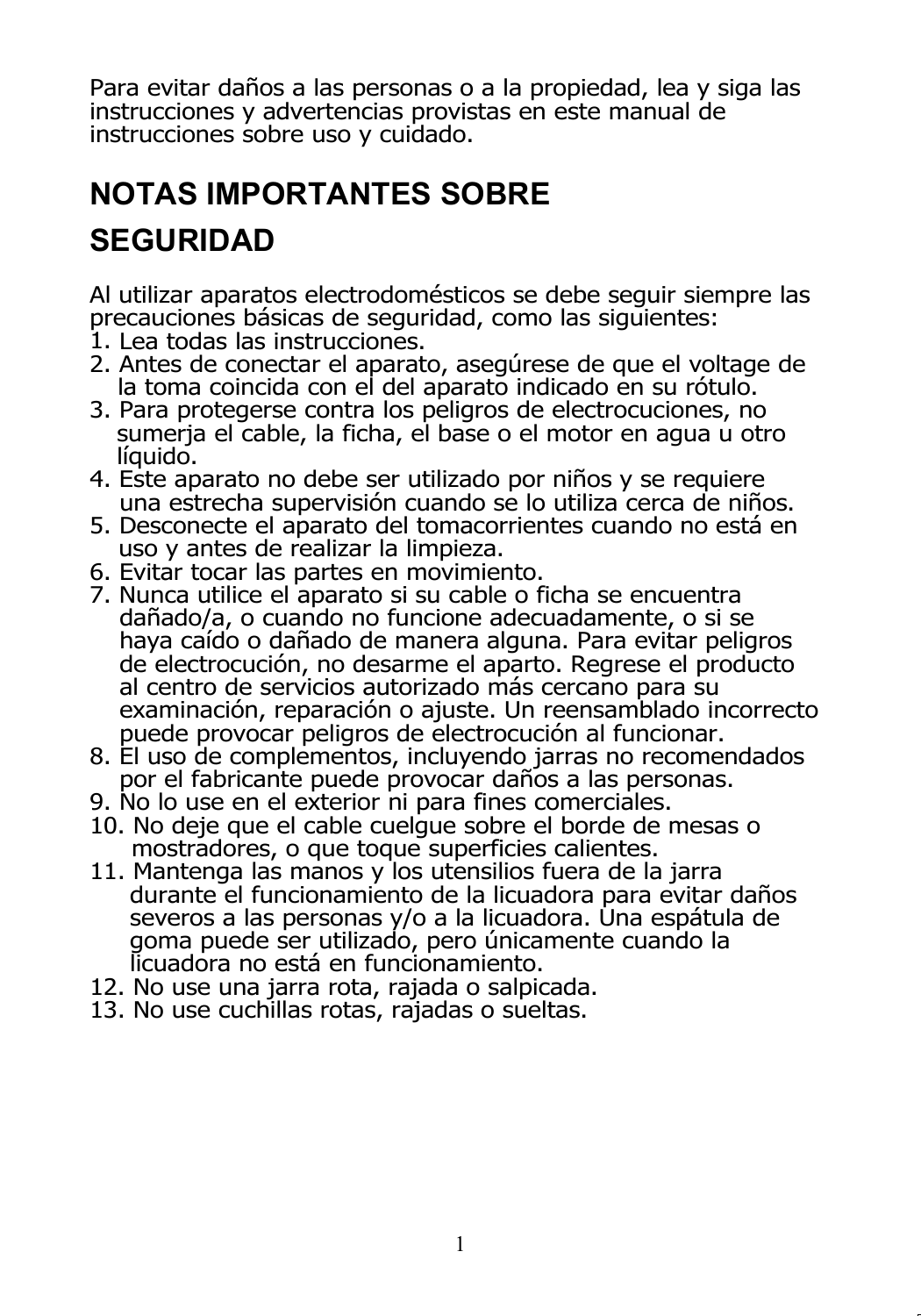Para evitar daños a las personas o a la propiedad, lea y siga las instrucciones y advertencias provistas en este manual de instrucciones sobre uso y cuidado.

## **NOTAS IMPORTANTES SOBRE SEGURIDAD**

Al utilizar aparatos electrodomésticos se debe seguir siempre las precauciones básicas de seguridad, como las siguientes:

- 1. Lea todas las instrucciones.
- 2. Antes de conectar el aparato, asegúrese de que el voltage de la toma coincida con el del aparato indicado en su rótulo.
- 3. Para protegerse contra los peligros de electrocuciones, no sumerja el cable, la ficha, el base o el motor en agua u otro líquido.
- 4. Este aparato no debe ser utilizado por niños y se requiere una estrecha supervisión cuando se lo utiliza cerca de niños.
- 5. Desconecte el aparato del tomacorrientes cuando no está en uso y antes de realizar la limpieza.
- 6. Evitar tocar las partes en movimiento.
- 7. Nunca utilice el aparato si su cable o ficha se encuentra dañado/a, o cuando no funcione adecuadamente, o si se haya caído o dañado de manera alguna. Para evitar peligros de electrocución, no desarme el aparto. Regrese el producto al centro de servicios autorizado más cercano para su examinación, reparación o ajuste. Un reensamblado incorrecto puede provocar peligros de electrocución al funcionar.
- 8. El uso de complementos, incluyendo jarras no recomendados por el fabricante puede provocar daños a las personas.
- 9. No lo use en el exterior ni para fines comerciales.
- 10. No deje que el cable cuelgue sobre el borde de mesas o mostradores, o que toque superficies calientes.
- 11. Mantenga las manos y los utensilios fuera de la jarra durante el funcionamiento de la licuadora para evitar daños severos a las personas y/o a la licuadora. Una espátula de goma puede ser utilizado, pero únicamente cuando la licuadora no está en funcionamiento.
- 12. No use una jarra rota, rajada o salpicada.
- 13. No use cuchillas rotas, rajadas o sueltas.